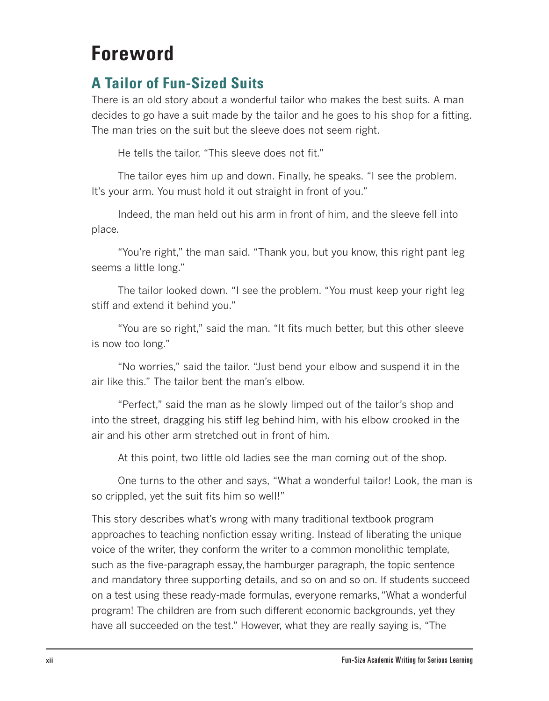## **Foreword**

## **A Tailor of Fun-Sized Suits**

There is an old story about a wonderful tailor who makes the best suits. A man decides to go have a suit made by the tailor and he goes to his shop for a fitting. The man tries on the suit but the sleeve does not seem right.

He tells the tailor, "This sleeve does not fit."

The tailor eyes him up and down. Finally, he speaks. "I see the problem. It's your arm. You must hold it out straight in front of you."

Indeed, the man held out his arm in front of him, and the sleeve fell into place.

"You're right," the man said. "Thank you, but you know, this right pant leg seems a little long."

The tailor looked down. "I see the problem. "You must keep your right leg stiff and extend it behind you."

"You are so right," said the man. "It fits much better, but this other sleeve is now too long."

"No worries," said the tailor. "Just bend your elbow and suspend it in the air like this." The tailor bent the man's elbow.

"Perfect," said the man as he slowly limped out of the tailor's shop and into the street, dragging his stiff leg behind him, with his elbow crooked in the air and his other arm stretched out in front of him.

At this point, two little old ladies see the man coming out of the shop.

One turns to the other and says, "What a wonderful tailor! Look, the man is so crippled, yet the suit fits him so well!"

This story describes what's wrong with many traditional textbook program approaches to teaching nonfiction essay writing. Instead of liberating the unique voice of the writer, they conform the writer to a common monolithic template, such as the five-paragraph essay, the hamburger paragraph, the topic sentence and mandatory three supporting details, and so on and so on. If students succeed on a test using these ready-made formulas, everyone remarks, "What a wonderful program! The children are from such different economic backgrounds, yet they have all succeeded on the test." However, what they are really saying is, "The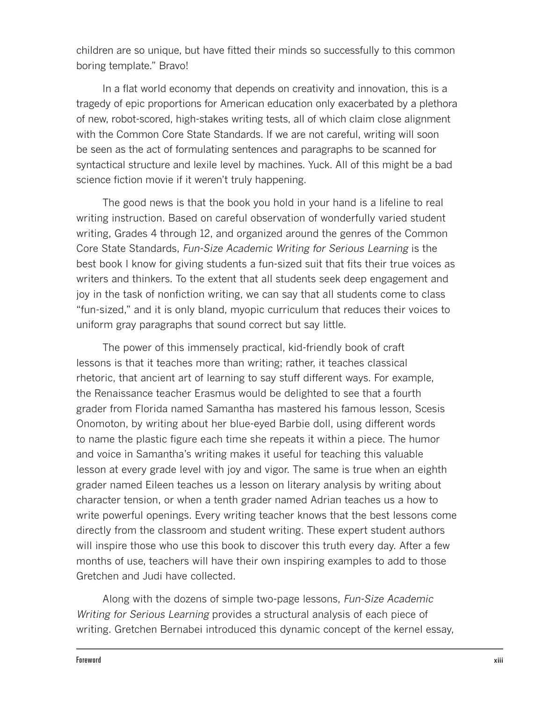children are so unique, but have fitted their minds so successfully to this common boring template." Bravo!

In a flat world economy that depends on creativity and innovation, this is a tragedy of epic proportions for American education only exacerbated by a plethora of new, robot-scored, high-stakes writing tests, all of which claim close alignment with the Common Core State Standards. If we are not careful, writing will soon be seen as the act of formulating sentences and paragraphs to be scanned for syntactical structure and lexile level by machines. Yuck. All of this might be a bad science fiction movie if it weren't truly happening.

The good news is that the book you hold in your hand is a lifeline to real writing instruction. Based on careful observation of wonderfully varied student writing, Grades 4 through 12, and organized around the genres of the Common Core State Standards, Fun-Size Academic Writing for Serious Learning is the best book I know for giving students a fun-sized suit that fits their true voices as writers and thinkers. To the extent that all students seek deep engagement and joy in the task of nonfiction writing, we can say that all students come to class "fun-sized," and it is only bland, myopic curriculum that reduces their voices to uniform gray paragraphs that sound correct but say little.

The power of this immensely practical, kid-friendly book of craft lessons is that it teaches more than writing; rather, it teaches classical rhetoric, that ancient art of learning to say stuff different ways. For example, the Renaissance teacher Erasmus would be delighted to see that a fourth grader from Florida named Samantha has mastered his famous lesson, Scesis Onomoton, by writing about her blue-eyed Barbie doll, using different words to name the plastic figure each time she repeats it within a piece. The humor and voice in Samantha's writing makes it useful for teaching this valuable lesson at every grade level with joy and vigor. The same is true when an eighth grader named Eileen teaches us a lesson on literary analysis by writing about character tension, or when a tenth grader named Adrian teaches us a how to write powerful openings. Every writing teacher knows that the best lessons come directly from the classroom and student writing. These expert student authors will inspire those who use this book to discover this truth every day. After a few months of use, teachers will have their own inspiring examples to add to those Gretchen and Judi have collected.

Along with the dozens of simple two-page lessons, Fun-Size Academic Writing for Serious Learning provides a structural analysis of each piece of writing. Gretchen Bernabei introduced this dynamic concept of the kernel essay,